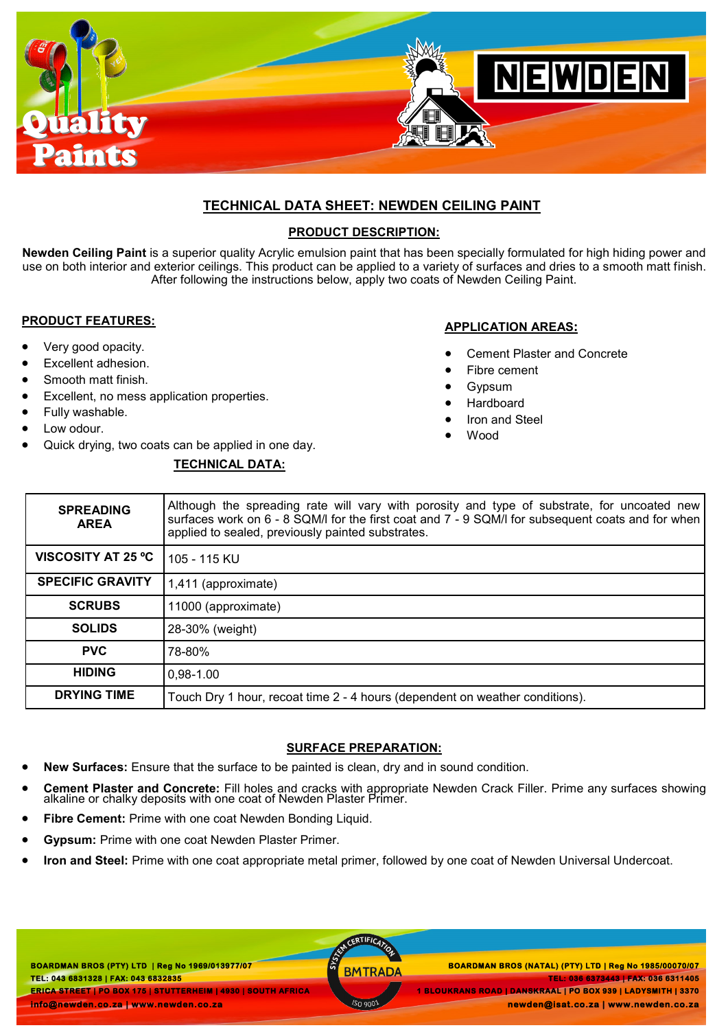

# **TECHNICAL DATA SHEET: NEWDEN CEILING PAINT**

### **PRODUCT DESCRIPTION:**

**Newden Ceiling Paint** is a superior quality Acrylic emulsion paint that has been specially formulated for high hiding power and use on both interior and exterior ceilings. This product can be applied to a variety of surfaces and dries to a smooth matt finish. After following the instructions below, apply two coats of Newden Ceiling Paint.

### **PRODUCT FEATURES:**

- Very good opacity.
- Excellent adhesion.
- Smooth matt finish.
- Excellent, no mess application properties.
- Fully washable.
- Low odour.
- Quick drying, two coats can be applied in one day.

# **TECHNICAL DATA:**

### **APPLICATION AREAS:**

- Cement Plaster and Concrete
- Fibre cement
- Gypsum
- Hardboard
- Iron and Steel
- Wood

| <b>SPREADING</b><br><b>AREA</b> | Although the spreading rate will vary with porosity and type of substrate, for uncoated new<br>surfaces work on 6 - 8 SQM/I for the first coat and 7 - 9 SQM/I for subsequent coats and for when<br>applied to sealed, previously painted substrates. |
|---------------------------------|-------------------------------------------------------------------------------------------------------------------------------------------------------------------------------------------------------------------------------------------------------|
| <b>VISCOSITY AT 25 °C</b>       | 105 - 115 KU                                                                                                                                                                                                                                          |
| <b>SPECIFIC GRAVITY</b>         | 1,411 (approximate)                                                                                                                                                                                                                                   |
| <b>SCRUBS</b>                   | 11000 (approximate)                                                                                                                                                                                                                                   |
| <b>SOLIDS</b>                   | 28-30% (weight)                                                                                                                                                                                                                                       |
| <b>PVC</b>                      | 78-80%                                                                                                                                                                                                                                                |
| <b>HIDING</b>                   | $0.98 - 1.00$                                                                                                                                                                                                                                         |
| <b>DRYING TIME</b>              | Touch Dry 1 hour, recoat time 2 - 4 hours (dependent on weather conditions).                                                                                                                                                                          |

### **SURFACE PREPARATION:**

- **New Surfaces:** Ensure that the surface to be painted is clean, dry and in sound condition.
- **Cement Plaster and Concrete:** Fill holes and cracks with appropriate Newden Crack Filler. Prime any surfaces showing alkaline or chalky deposits with one coat of Newden Plaster Primer.
- **Fibre Cement:** Prime with one coat Newden Bonding Liquid.
- **Gypsum:** Prime with one coat Newden Plaster Primer.
- **Iron and Steel:** Prime with one coat appropriate metal primer, followed by one coat of Newden Universal Undercoat.

**BOARDMAN BROS (PTY) LTD | Reg No 1969/013977/07 TEL: 043 6831328 | FAX: 043 6832835 ERICA STREET | PO BOX 175 | STUTTERHEIM | 4930 | SOUTH AFRICA info@newden.co.za | www.newden.co.za** 

CERTIFICAT

 **BOARDMAN BROS (PTY) LTD | Reg No 1969/013977/07 BOARDMAN BROS (NATAL) (PTY) LTD | Reg No 1985/00070/07 TEL: 036 6373443 | FAX: 036 6311405 1 BLOUKRANS ROAD | DANSKRAAL | PO BOX 939 | LADYSMITH | 3370** 

**newden@isat.co.za | www.newden.co.za**